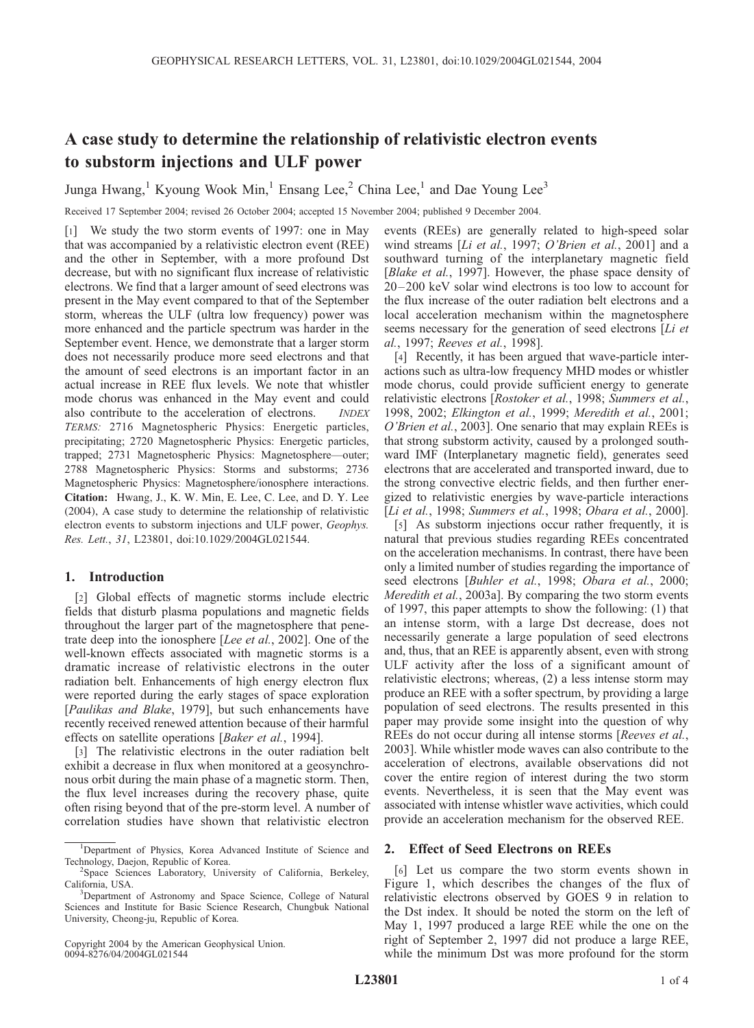# A case study to determine the relationship of relativistic electron events to substorm injections and ULF power

Junga Hwang,<sup>1</sup> Kyoung Wook Min,<sup>1</sup> Ensang Lee,<sup>2</sup> China Lee,<sup>1</sup> and Dae Young Lee<sup>3</sup>

Received 17 September 2004; revised 26 October 2004; accepted 15 November 2004; published 9 December 2004.

[1] We study the two storm events of 1997: one in May that was accompanied by a relativistic electron event (REE) and the other in September, with a more profound Dst decrease, but with no significant flux increase of relativistic electrons. We find that a larger amount of seed electrons was present in the May event compared to that of the September storm, whereas the ULF (ultra low frequency) power was more enhanced and the particle spectrum was harder in the September event. Hence, we demonstrate that a larger storm does not necessarily produce more seed electrons and that the amount of seed electrons is an important factor in an actual increase in REE flux levels. We note that whistler mode chorus was enhanced in the May event and could also contribute to the acceleration of electrons. INDEX TERMS: 2716 Magnetospheric Physics: Energetic particles, precipitating; 2720 Magnetospheric Physics: Energetic particles, trapped; 2731 Magnetospheric Physics: Magnetosphere—outer; 2788 Magnetospheric Physics: Storms and substorms; 2736 Magnetospheric Physics: Magnetosphere/ionosphere interactions. Citation: Hwang, J., K. W. Min, E. Lee, C. Lee, and D. Y. Lee (2004), A case study to determine the relationship of relativistic electron events to substorm injections and ULF power, Geophys. Res. Lett., 31, L23801, doi:10.1029/2004GL021544.

## 1. Introduction

[2] Global effects of magnetic storms include electric fields that disturb plasma populations and magnetic fields throughout the larger part of the magnetosphere that penetrate deep into the ionosphere [Lee et al., 2002]. One of the well-known effects associated with magnetic storms is a dramatic increase of relativistic electrons in the outer radiation belt. Enhancements of high energy electron flux were reported during the early stages of space exploration [Paulikas and Blake, 1979], but such enhancements have recently received renewed attention because of their harmful effects on satellite operations [Baker et al., 1994].

[3] The relativistic electrons in the outer radiation belt exhibit a decrease in flux when monitored at a geosynchronous orbit during the main phase of a magnetic storm. Then, the flux level increases during the recovery phase, quite often rising beyond that of the pre-storm level. A number of correlation studies have shown that relativistic electron

Copyright 2004 by the American Geophysical Union. 0094-8276/04/2004GL021544

events (REEs) are generally related to high-speed solar wind streams [Li et al., 1997; O'Brien et al., 2001] and a southward turning of the interplanetary magnetic field [Blake et al., 1997]. However, the phase space density of 20– 200 keV solar wind electrons is too low to account for the flux increase of the outer radiation belt electrons and a local acceleration mechanism within the magnetosphere seems necessary for the generation of seed electrons [Li et] al., 1997; Reeves et al., 1998].

[4] Recently, it has been argued that wave-particle interactions such as ultra-low frequency MHD modes or whistler mode chorus, could provide sufficient energy to generate relativistic electrons [Rostoker et al., 1998; Summers et al., 1998, 2002; Elkington et al., 1999; Meredith et al., 2001; O'Brien et al., 2003]. One senario that may explain REEs is that strong substorm activity, caused by a prolonged southward IMF (Interplanetary magnetic field), generates seed electrons that are accelerated and transported inward, due to the strong convective electric fields, and then further energized to relativistic energies by wave-particle interactions [*Li et al., 1998; Summers et al., 1998; Obara et al., 2000*].

[5] As substorm injections occur rather frequently, it is natural that previous studies regarding REEs concentrated on the acceleration mechanisms. In contrast, there have been only a limited number of studies regarding the importance of seed electrons [Buhler et al., 1998; Obara et al., 2000; Meredith et al., 2003a]. By comparing the two storm events of 1997, this paper attempts to show the following: (1) that an intense storm, with a large Dst decrease, does not necessarily generate a large population of seed electrons and, thus, that an REE is apparently absent, even with strong ULF activity after the loss of a significant amount of relativistic electrons; whereas, (2) a less intense storm may produce an REE with a softer spectrum, by providing a large population of seed electrons. The results presented in this paper may provide some insight into the question of why REEs do not occur during all intense storms [Reeves et al., 2003]. While whistler mode waves can also contribute to the acceleration of electrons, available observations did not cover the entire region of interest during the two storm events. Nevertheless, it is seen that the May event was associated with intense whistler wave activities, which could provide an acceleration mechanism for the observed REE.

## 2. Effect of Seed Electrons on REEs

[6] Let us compare the two storm events shown in Figure 1, which describes the changes of the flux of relativistic electrons observed by GOES 9 in relation to the Dst index. It should be noted the storm on the left of May 1, 1997 produced a large REE while the one on the right of September 2, 1997 did not produce a large REE, while the minimum Dst was more profound for the storm

<sup>&</sup>lt;sup>1</sup>Department of Physics, Korea Advanced Institute of Science and Technology, Daejon, Republic of Korea. <sup>2</sup>

<sup>&</sup>lt;sup>2</sup>Space Sciences Laboratory, University of California, Berkeley, California, USA.

Department of Astronomy and Space Science, College of Natural Sciences and Institute for Basic Science Research, Chungbuk National University, Cheong-ju, Republic of Korea.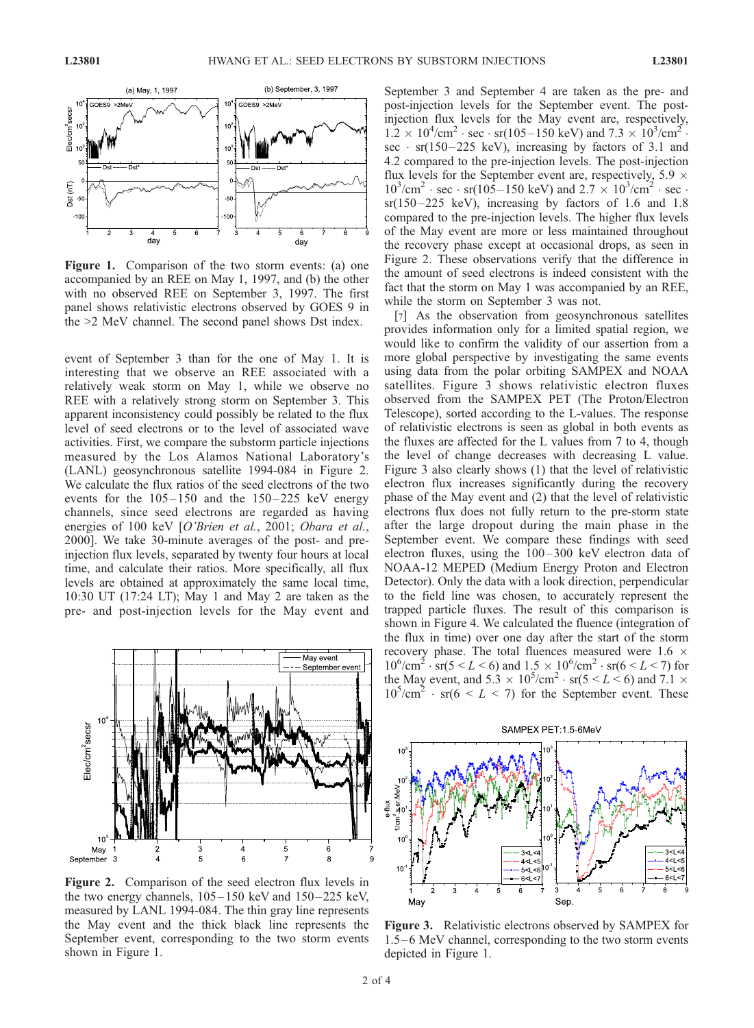

Figure 1. Comparison of the two storm events: (a) one accompanied by an REE on May 1, 1997, and (b) the other with no observed REE on September 3, 1997. The first panel shows relativistic electrons observed by GOES 9 in the >2 MeV channel. The second panel shows Dst index.

event of September 3 than for the one of May 1. It is interesting that we observe an REE associated with a relatively weak storm on May 1, while we observe no REE with a relatively strong storm on September 3. This apparent inconsistency could possibly be related to the flux level of seed electrons or to the level of associated wave activities. First, we compare the substorm particle injections measured by the Los Alamos National Laboratory's (LANL) geosynchronous satellite 1994-084 in Figure 2. We calculate the flux ratios of the seed electrons of the two events for the  $105-150$  and the  $150-225$  keV energy channels, since seed electrons are regarded as having energies of 100 keV [O'Brien et al., 2001; Obara et al., 2000]. We take 30-minute averages of the post- and preinjection flux levels, separated by twenty four hours at local time, and calculate their ratios. More specifically, all flux levels are obtained at approximately the same local time, 10:30 UT (17:24 LT); May 1 and May 2 are taken as the pre- and post-injection levels for the May event and



Figure 2. Comparison of the seed electron flux levels in the two energy channels,  $105-150 \text{ keV}$  and  $150-225 \text{ keV}$ , measured by LANL 1994-084. The thin gray line represents the May event and the thick black line represents the September event, corresponding to the two storm events shown in Figure 1.

September 3 and September 4 are taken as the pre- and post-injection levels for the September event. The postinjection flux levels for the May event are, respectively,  $1.2 \times 10^4$ /cm<sup>2</sup> · sec · sr(105–150 keV) and  $7.3 \times 10^3$ /cm<sup>2</sup>. sec · sr(150–225 keV), increasing by factors of 3.1 and 4.2 compared to the pre-injection levels. The post-injection flux levels for the September event are, respectively,  $5.9 \times$  $10^3$ /cm<sup>2</sup> · sec · sr(105–150 keV) and  $2.7 \times 10^3$ /cm<sup>2</sup> · sec ·  $sr(150-225 \text{ keV})$ , increasing by factors of 1.6 and 1.8 compared to the pre-injection levels. The higher flux levels of the May event are more or less maintained throughout the recovery phase except at occasional drops, as seen in Figure 2. These observations verify that the difference in the amount of seed electrons is indeed consistent with the fact that the storm on May 1 was accompanied by an REE, while the storm on September 3 was not.

[7] As the observation from geosynchronous satellites provides information only for a limited spatial region, we would like to confirm the validity of our assertion from a more global perspective by investigating the same events using data from the polar orbiting SAMPEX and NOAA satellites. Figure 3 shows relativistic electron fluxes observed from the SAMPEX PET (The Proton/Electron Telescope), sorted according to the L-values. The response of relativistic electrons is seen as global in both events as the fluxes are affected for the L values from 7 to 4, though the level of change decreases with decreasing L value. Figure 3 also clearly shows (1) that the level of relativistic electron flux increases significantly during the recovery phase of the May event and (2) that the level of relativistic electrons flux does not fully return to the pre-storm state after the large dropout during the main phase in the September event. We compare these findings with seed electron fluxes, using the  $100-300$  keV electron data of NOAA-12 MEPED (Medium Energy Proton and Electron Detector). Only the data with a look direction, perpendicular to the field line was chosen, to accurately represent the trapped particle fluxes. The result of this comparison is shown in Figure 4. We calculated the fluence (integration of the flux in time) over one day after the start of the storm recovery phase. The total fluences measured were  $1.6 \times$  $10^6/\text{cm}^2 \cdot \text{sr}(5 \le L \le 6)$  and  $1.5 \times 10^6/\text{cm}^2 \cdot \text{sr}(6 \le L \le 7)$  for the May event, and  $5.3 \times 10^5/\text{cm}^2 \cdot \text{sr}(5 \le L \le 6)$  and  $7.1 \times$  $10^5$ /cm<sup>2</sup> · sr(6 < L < 7) for the September event. These



Figure 3. Relativistic electrons observed by SAMPEX for 1.5–6 MeV channel, corresponding to the two storm events depicted in Figure 1.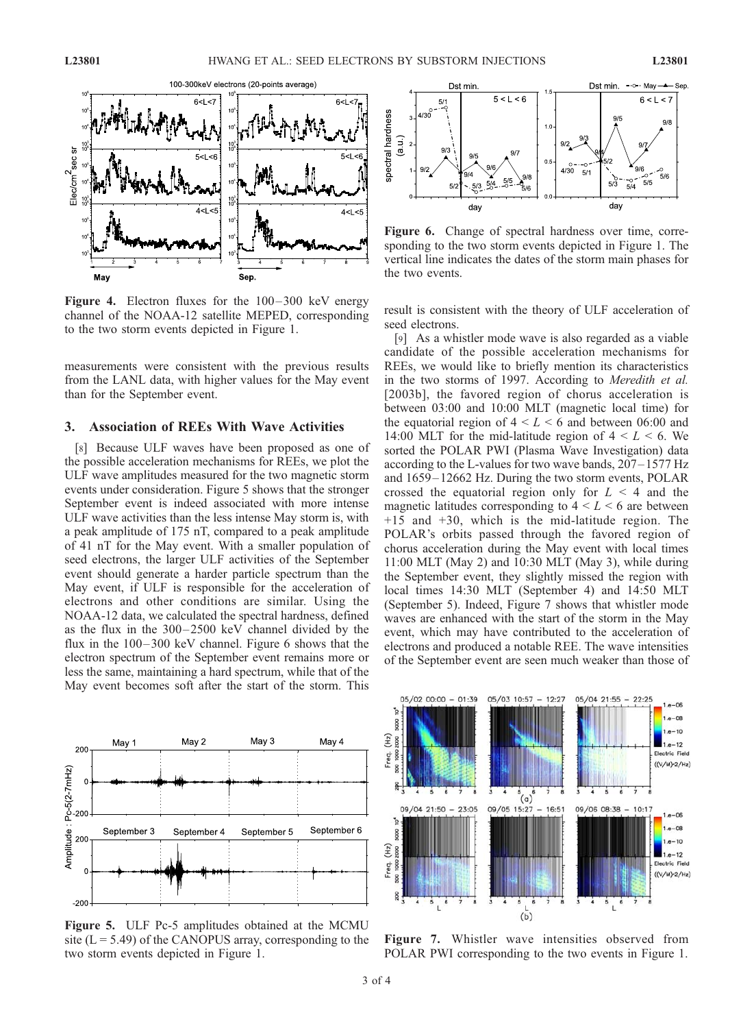

Figure 4. Electron fluxes for the 100-300 keV energy channel of the NOAA-12 satellite MEPED, corresponding to the two storm events depicted in Figure 1.

measurements were consistent with the previous results from the LANL data, with higher values for the May event than for the September event.

## 3. Association of REEs With Wave Activities

[8] Because ULF waves have been proposed as one of the possible acceleration mechanisms for REEs, we plot the ULF wave amplitudes measured for the two magnetic storm events under consideration. Figure 5 shows that the stronger September event is indeed associated with more intense ULF wave activities than the less intense May storm is, with a peak amplitude of 175 nT, compared to a peak amplitude of 41 nT for the May event. With a smaller population of seed electrons, the larger ULF activities of the September event should generate a harder particle spectrum than the May event, if ULF is responsible for the acceleration of electrons and other conditions are similar. Using the NOAA-12 data, we calculated the spectral hardness, defined as the flux in the 300– 2500 keV channel divided by the flux in the  $100 - 300$  keV channel. Figure 6 shows that the electron spectrum of the September event remains more or less the same, maintaining a hard spectrum, while that of the May event becomes soft after the start of the storm. This



Figure 5. ULF Pc-5 amplitudes obtained at the MCMU site  $(L = 5.49)$  of the CANOPUS array, corresponding to the two storm events depicted in Figure 1.



Figure 6. Change of spectral hardness over time, corresponding to the two storm events depicted in Figure 1. The vertical line indicates the dates of the storm main phases for the two events.

result is consistent with the theory of ULF acceleration of seed electrons.

[9] As a whistler mode wave is also regarded as a viable candidate of the possible acceleration mechanisms for REEs, we would like to briefly mention its characteristics in the two storms of 1997. According to Meredith et al. [2003b], the favored region of chorus acceleration is between 03:00 and 10:00 MLT (magnetic local time) for the equatorial region of  $4 \leq L \leq 6$  and between 06:00 and 14:00 MLT for the mid-latitude region of  $4 \leq L \leq 6$ . We sorted the POLAR PWI (Plasma Wave Investigation) data according to the L-values for two wave bands, 207– 1577 Hz and 1659 – 12662 Hz. During the two storm events, POLAR crossed the equatorial region only for  $L < 4$  and the magnetic latitudes corresponding to  $4 \leq L \leq 6$  are between +15 and +30, which is the mid-latitude region. The POLAR's orbits passed through the favored region of chorus acceleration during the May event with local times 11:00 MLT (May 2) and 10:30 MLT (May 3), while during the September event, they slightly missed the region with local times 14:30 MLT (September 4) and 14:50 MLT (September 5). Indeed, Figure 7 shows that whistler mode waves are enhanced with the start of the storm in the May event, which may have contributed to the acceleration of electrons and produced a notable REE. The wave intensities of the September event are seen much weaker than those of



Figure 7. Whistler wave intensities observed from POLAR PWI corresponding to the two events in Figure 1.